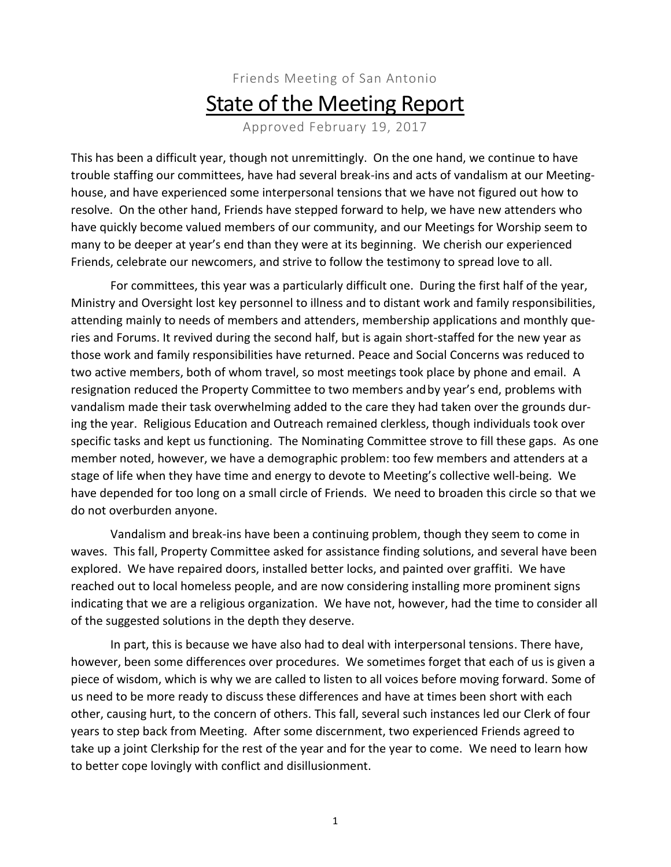## Friends Meeting of San Antonio **State of the Meeting Report**

Approved February 19, 2017

This has been a difficult year, though not unremittingly. On the one hand, we continue to have trouble staffing our committees, have had several break-ins and acts of vandalism at our Meetinghouse, and have experienced some interpersonal tensions that we have not figured out how to resolve. On the other hand, Friends have stepped forward to help, we have new attenders who have quickly become valued members of our community, and our Meetings for Worship seem to many to be deeper at year's end than they were at its beginning. We cherish our experienced Friends, celebrate our newcomers, and strive to follow the testimony to spread love to all.

For committees, this year was a particularly difficult one. During the first half of the year, Ministry and Oversight lost key personnel to illness and to distant work and family responsibilities, attending mainly to needs of members and attenders, membership applications and monthly queries and Forums. It revived during the second half, but is again short-staffed for the new year as those work and family responsibilities have returned. Peace and Social Concerns was reduced to two active members, both of whom travel, so most meetings took place by phone and email. A resignation reduced the Property Committee to two members andby year's end, problems with vandalism made their task overwhelming added to the care they had taken over the grounds during the year. Religious Education and Outreach remained clerkless, though individuals took over specific tasks and kept us functioning. The Nominating Committee strove to fill these gaps. As one member noted, however, we have a demographic problem: too few members and attenders at a stage of life when they have time and energy to devote to Meeting's collective well-being. We have depended for too long on a small circle of Friends. We need to broaden this circle so that we do not overburden anyone.

Vandalism and break-ins have been a continuing problem, though they seem to come in waves. This fall, Property Committee asked for assistance finding solutions, and several have been explored. We have repaired doors, installed better locks, and painted over graffiti. We have reached out to local homeless people, and are now considering installing more prominent signs indicating that we are a religious organization. We have not, however, had the time to consider all of the suggested solutions in the depth they deserve.

In part, this is because we have also had to deal with interpersonal tensions. There have, however, been some differences over procedures. We sometimes forget that each of us is given a piece of wisdom, which is why we are called to listen to all voices before moving forward. Some of us need to be more ready to discuss these differences and have at times been short with each other, causing hurt, to the concern of others. This fall, several such instances led our Clerk of four years to step back from Meeting. After some discernment, two experienced Friends agreed to take up a joint Clerkship for the rest of the year and for the year to come. We need to learn how to better cope lovingly with conflict and disillusionment.